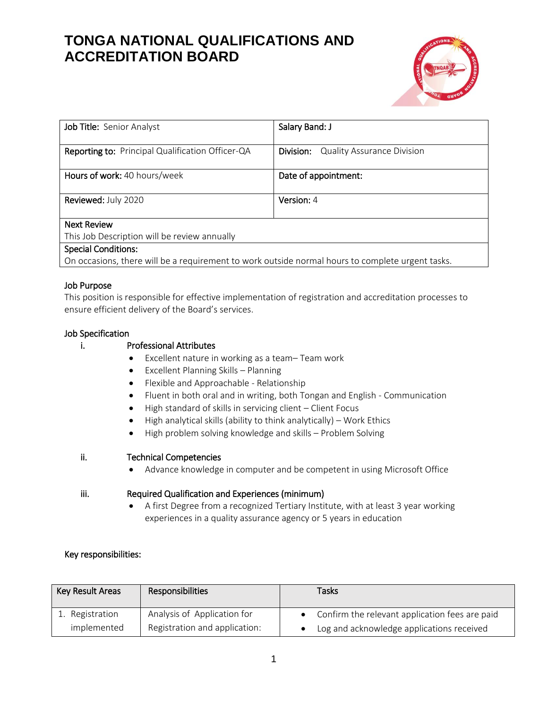

| Job Title: Senior Analyst                                                                        | Salary Band: J                                 |
|--------------------------------------------------------------------------------------------------|------------------------------------------------|
|                                                                                                  |                                                |
| Reporting to: Principal Qualification Officer-QA                                                 | <b>Quality Assurance Division</b><br>Division: |
|                                                                                                  |                                                |
| Hours of work: 40 hours/week                                                                     | Date of appointment:                           |
|                                                                                                  |                                                |
| Reviewed: July 2020                                                                              | Version: 4                                     |
|                                                                                                  |                                                |
| <b>Next Review</b>                                                                               |                                                |
| This Job Description will be review annually                                                     |                                                |
| <b>Special Conditions:</b>                                                                       |                                                |
| On occasions, there will be a requirement to work outside normal hours to complete urgent tasks. |                                                |

#### Job Purpose

This position is responsible for effective implementation of registration and accreditation processes to ensure efficient delivery of the Board's services.

#### Job Specification

#### i. Professional Attributes

- Excellent nature in working as a team– Team work
- Excellent Planning Skills Planning
- Flexible and Approachable Relationship
- Fluent in both oral and in writing, both Tongan and English Communication
- High standard of skills in servicing client Client Focus
- $\bullet$  High analytical skills (ability to think analytically) Work Ethics
- High problem solving knowledge and skills Problem Solving

#### ii. Technical Competencies

Advance knowledge in computer and be competent in using Microsoft Office

#### iii. Required Qualification and Experiences (minimum)

 A first Degree from a recognized Tertiary Institute, with at least 3 year working experiences in a quality assurance agency or 5 years in education

#### Key responsibilities:

| Key Result Areas | <b>Responsibilities</b>       | <b>Tasks</b>                                   |
|------------------|-------------------------------|------------------------------------------------|
| 1. Registration  | Analysis of Application for   | Confirm the relevant application fees are paid |
| implemented      | Registration and application: | Log and acknowledge applications received      |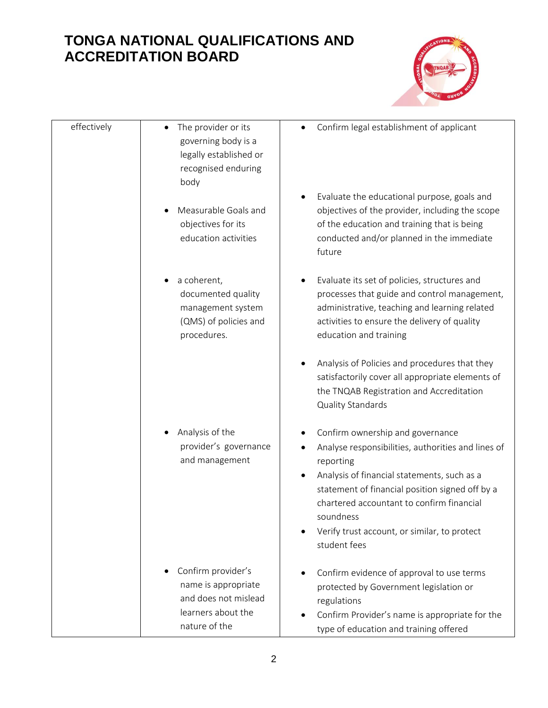

| effectively | The provider or its<br>$\bullet$<br>governing body is a<br>legally established or<br>recognised enduring<br>body      | Confirm legal establishment of applicant                                                                                                                                                                                                                                                                                             |
|-------------|-----------------------------------------------------------------------------------------------------------------------|--------------------------------------------------------------------------------------------------------------------------------------------------------------------------------------------------------------------------------------------------------------------------------------------------------------------------------------|
|             | Measurable Goals and<br>objectives for its<br>education activities                                                    | Evaluate the educational purpose, goals and<br>objectives of the provider, including the scope<br>of the education and training that is being<br>conducted and/or planned in the immediate<br>future                                                                                                                                 |
|             | a coherent,<br>$\bullet$<br>documented quality<br>management system<br>(QMS) of policies and<br>procedures.           | Evaluate its set of policies, structures and<br>processes that guide and control management,<br>administrative, teaching and learning related<br>activities to ensure the delivery of quality<br>education and training                                                                                                              |
|             |                                                                                                                       | Analysis of Policies and procedures that they<br>satisfactorily cover all appropriate elements of<br>the TNQAB Registration and Accreditation<br>Quality Standards                                                                                                                                                                   |
|             | Analysis of the<br>provider's governance<br>and management                                                            | Confirm ownership and governance<br>Analyse responsibilities, authorities and lines of<br>٠<br>reporting<br>Analysis of financial statements, such as a<br>statement of financial position signed off by a<br>chartered accountant to confirm financial<br>soundness<br>Verify trust account, or similar, to protect<br>student fees |
|             | Confirm provider's<br>$\bullet$<br>name is appropriate<br>and does not mislead<br>learners about the<br>nature of the | Confirm evidence of approval to use terms<br>protected by Government legislation or<br>regulations<br>Confirm Provider's name is appropriate for the<br>type of education and training offered                                                                                                                                       |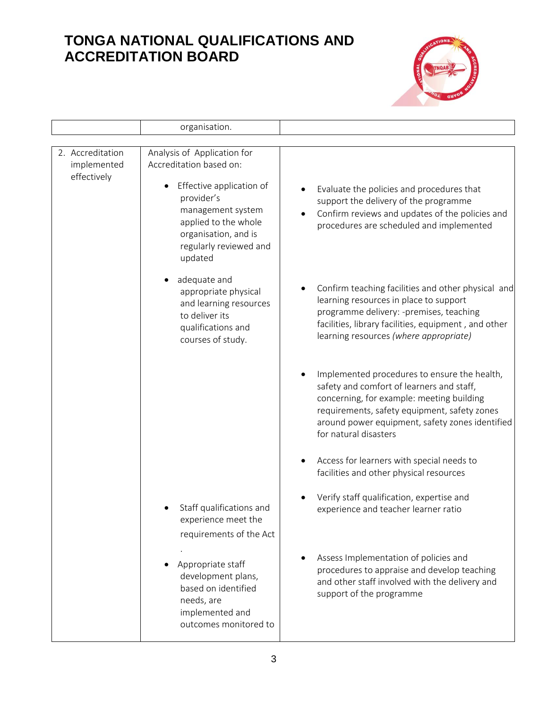

|                                                | organisation.                                                                                                                                                                                                           |                                                                                                                                                                                                                                                                    |
|------------------------------------------------|-------------------------------------------------------------------------------------------------------------------------------------------------------------------------------------------------------------------------|--------------------------------------------------------------------------------------------------------------------------------------------------------------------------------------------------------------------------------------------------------------------|
|                                                |                                                                                                                                                                                                                         |                                                                                                                                                                                                                                                                    |
| 2. Accreditation<br>implemented<br>effectively | Analysis of Application for<br>Accreditation based on:<br>Effective application of<br>$\bullet$<br>provider's<br>management system<br>applied to the whole<br>organisation, and is<br>regularly reviewed and<br>updated | Evaluate the policies and procedures that<br>support the delivery of the programme<br>Confirm reviews and updates of the policies and<br>procedures are scheduled and implemented                                                                                  |
|                                                | adequate and<br>appropriate physical<br>and learning resources<br>to deliver its<br>qualifications and<br>courses of study.                                                                                             | Confirm teaching facilities and other physical and<br>learning resources in place to support<br>programme delivery: -premises, teaching<br>facilities, library facilities, equipment, and other<br>learning resources (where appropriate)                          |
|                                                |                                                                                                                                                                                                                         | Implemented procedures to ensure the health,<br>safety and comfort of learners and staff,<br>concerning, for example: meeting building<br>requirements, safety equipment, safety zones<br>around power equipment, safety zones identified<br>for natural disasters |
|                                                |                                                                                                                                                                                                                         | Access for learners with special needs to<br>facilities and other physical resources                                                                                                                                                                               |
|                                                | Staff qualifications and<br>experience meet the<br>requirements of the Act                                                                                                                                              | Verify staff qualification, expertise and<br>experience and teacher learner ratio                                                                                                                                                                                  |
|                                                | Appropriate staff<br>development plans,<br>based on identified<br>needs, are<br>implemented and<br>outcomes monitored to                                                                                                | Assess Implementation of policies and<br>procedures to appraise and develop teaching<br>and other staff involved with the delivery and<br>support of the programme                                                                                                 |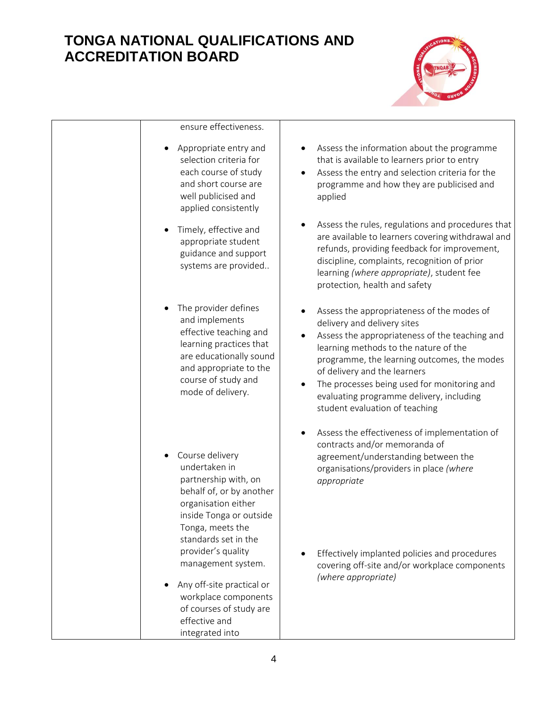

| ensure effectiveness.                                                                                                                                                                                    |                                                                                                                                                                                                                                                                                                                                                                                               |
|----------------------------------------------------------------------------------------------------------------------------------------------------------------------------------------------------------|-----------------------------------------------------------------------------------------------------------------------------------------------------------------------------------------------------------------------------------------------------------------------------------------------------------------------------------------------------------------------------------------------|
| Appropriate entry and<br>selection criteria for<br>each course of study<br>and short course are<br>well publicised and<br>applied consistently                                                           | Assess the information about the programme<br>$\bullet$<br>that is available to learners prior to entry<br>Assess the entry and selection criteria for the<br>$\bullet$<br>programme and how they are publicised and<br>applied                                                                                                                                                               |
| Timely, effective and<br>٠<br>appropriate student<br>guidance and support<br>systems are provided                                                                                                        | Assess the rules, regulations and procedures that<br>$\bullet$<br>are available to learners covering withdrawal and<br>refunds, providing feedback for improvement,<br>discipline, complaints, recognition of prior<br>learning (where appropriate), student fee<br>protection, health and safety                                                                                             |
| The provider defines<br>and implements<br>effective teaching and<br>learning practices that<br>are educationally sound<br>and appropriate to the<br>course of study and<br>mode of delivery.             | Assess the appropriateness of the modes of<br>delivery and delivery sites<br>Assess the appropriateness of the teaching and<br>learning methods to the nature of the<br>programme, the learning outcomes, the modes<br>of delivery and the learners<br>The processes being used for monitoring and<br>$\bullet$<br>evaluating programme delivery, including<br>student evaluation of teaching |
| Course delivery<br>undertaken in<br>partnership with, on<br>behalf of, or by another<br>organisation either<br>inside Tonga or outside<br>Tonga, meets the<br>standards set in the<br>provider's quality | Assess the effectiveness of implementation of<br>contracts and/or memoranda of<br>agreement/understanding between the<br>organisations/providers in place (where<br>appropriate<br>Effectively implanted policies and procedures                                                                                                                                                              |
| management system.<br>Any off-site practical or<br>workplace components<br>of courses of study are<br>effective and<br>integrated into                                                                   | covering off-site and/or workplace components<br>(where appropriate)                                                                                                                                                                                                                                                                                                                          |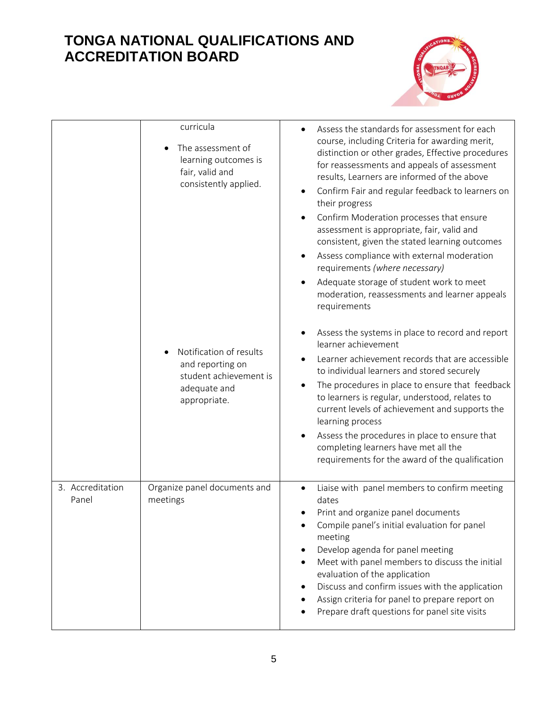

|                           | curricula<br>The assessment of<br>learning outcomes is<br>fair, valid and<br>consistently applied.<br>Notification of results<br>and reporting on<br>student achievement is<br>adequate and<br>appropriate. | Assess the standards for assessment for each<br>$\bullet$<br>course, including Criteria for awarding merit,<br>distinction or other grades, Effective procedures<br>for reassessments and appeals of assessment<br>results, Learners are informed of the above<br>Confirm Fair and regular feedback to learners on<br>$\bullet$<br>their progress<br>Confirm Moderation processes that ensure<br>$\bullet$<br>assessment is appropriate, fair, valid and<br>consistent, given the stated learning outcomes<br>Assess compliance with external moderation<br>$\bullet$<br>requirements (where necessary)<br>Adequate storage of student work to meet<br>$\bullet$<br>moderation, reassessments and learner appeals<br>requirements<br>Assess the systems in place to record and report<br>$\bullet$<br>learner achievement<br>Learner achievement records that are accessible<br>to individual learners and stored securely<br>The procedures in place to ensure that feedback<br>$\bullet$<br>to learners is regular, understood, relates to<br>current levels of achievement and supports the<br>learning process<br>Assess the procedures in place to ensure that<br>completing learners have met all the<br>requirements for the award of the qualification |
|---------------------------|-------------------------------------------------------------------------------------------------------------------------------------------------------------------------------------------------------------|----------------------------------------------------------------------------------------------------------------------------------------------------------------------------------------------------------------------------------------------------------------------------------------------------------------------------------------------------------------------------------------------------------------------------------------------------------------------------------------------------------------------------------------------------------------------------------------------------------------------------------------------------------------------------------------------------------------------------------------------------------------------------------------------------------------------------------------------------------------------------------------------------------------------------------------------------------------------------------------------------------------------------------------------------------------------------------------------------------------------------------------------------------------------------------------------------------------------------------------------------------------|
| 3. Accreditation<br>Panel | Organize panel documents and<br>meetings                                                                                                                                                                    | Liaise with panel members to confirm meeting<br>$\bullet$<br>dates<br>Print and organize panel documents<br>Compile panel's initial evaluation for panel<br>meeting<br>Develop agenda for panel meeting<br>٠<br>Meet with panel members to discuss the initial<br>evaluation of the application<br>Discuss and confirm issues with the application<br>Assign criteria for panel to prepare report on<br>Prepare draft questions for panel site visits                                                                                                                                                                                                                                                                                                                                                                                                                                                                                                                                                                                                                                                                                                                                                                                                          |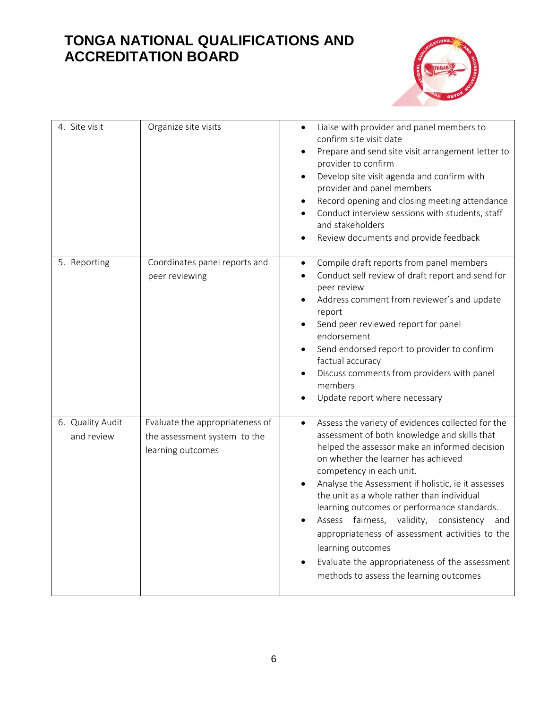

| 4. Site visit                  | Organize site visits                                                                 | Liaise with provider and panel members to<br>$\bullet$<br>confirm site visit date<br>Prepare and send site visit arrangement letter to<br>٠<br>provider to confirm<br>Develop site visit agenda and confirm with<br>٠<br>provider and panel members<br>Record opening and closing meeting attendance<br>٠<br>Conduct interview sessions with students, staff<br>and stakeholders<br>Review documents and provide feedback<br>٠                                                                                                                                                                           |
|--------------------------------|--------------------------------------------------------------------------------------|----------------------------------------------------------------------------------------------------------------------------------------------------------------------------------------------------------------------------------------------------------------------------------------------------------------------------------------------------------------------------------------------------------------------------------------------------------------------------------------------------------------------------------------------------------------------------------------------------------|
| 5. Reporting                   | Coordinates panel reports and<br>peer reviewing                                      | Compile draft reports from panel members<br>٠<br>Conduct self review of draft report and send for<br>$\bullet$<br>peer review<br>Address comment from reviewer's and update<br>report<br>Send peer reviewed report for panel<br>$\bullet$<br>endorsement<br>Send endorsed report to provider to confirm<br>factual accuracy<br>Discuss comments from providers with panel<br>members<br>Update report where necessary                                                                                                                                                                                    |
| 6. Quality Audit<br>and review | Evaluate the appropriateness of<br>the assessment system to the<br>learning outcomes | Assess the variety of evidences collected for the<br>$\bullet$<br>assessment of both knowledge and skills that<br>helped the assessor make an informed decision<br>on whether the learner has achieved<br>competency in each unit.<br>Analyse the Assessment if holistic, ie it assesses<br>the unit as a whole rather than individual<br>learning outcomes or performance standards.<br>Assess fairness, validity, consistency and<br>appropriateness of assessment activities to the<br>learning outcomes<br>Evaluate the appropriateness of the assessment<br>methods to assess the learning outcomes |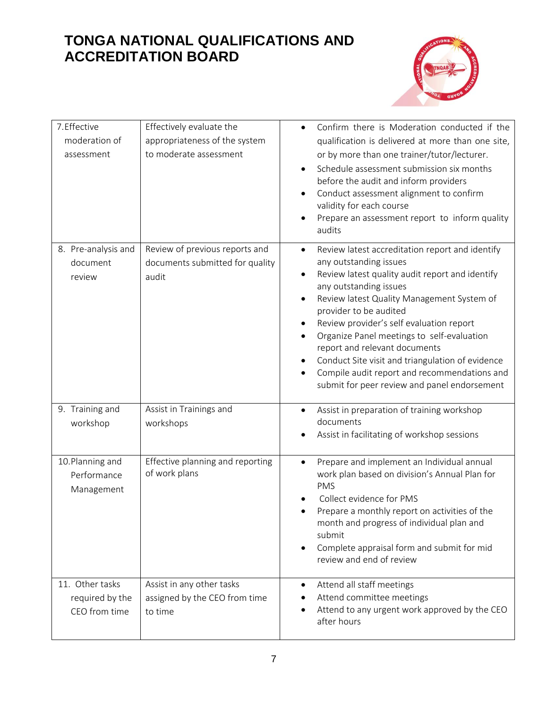

| 7.Effective               | Effectively evaluate the         | Confirm there is Moderation conducted if the<br>$\bullet$                                                                                                                                                                                       |
|---------------------------|----------------------------------|-------------------------------------------------------------------------------------------------------------------------------------------------------------------------------------------------------------------------------------------------|
| moderation of             | appropriateness of the system    | qualification is delivered at more than one site,                                                                                                                                                                                               |
| assessment                | to moderate assessment           | or by more than one trainer/tutor/lecturer.                                                                                                                                                                                                     |
|                           |                                  | Schedule assessment submission six months<br>$\bullet$<br>before the audit and inform providers<br>Conduct assessment alignment to confirm<br>validity for each course<br>Prepare an assessment report to inform quality<br>$\bullet$<br>audits |
| 8. Pre-analysis and       | Review of previous reports and   | Review latest accreditation report and identify<br>$\bullet$                                                                                                                                                                                    |
| document                  | documents submitted for quality  | any outstanding issues                                                                                                                                                                                                                          |
| review                    | audit                            | Review latest quality audit report and identify<br>$\bullet$<br>any outstanding issues                                                                                                                                                          |
|                           |                                  | Review latest Quality Management System of<br>$\bullet$<br>provider to be audited                                                                                                                                                               |
|                           |                                  | Review provider's self evaluation report<br>٠                                                                                                                                                                                                   |
|                           |                                  | Organize Panel meetings to self-evaluation<br>$\bullet$                                                                                                                                                                                         |
|                           |                                  | report and relevant documents<br>Conduct Site visit and triangulation of evidence                                                                                                                                                               |
|                           |                                  | Compile audit report and recommendations and<br>$\bullet$                                                                                                                                                                                       |
|                           |                                  | submit for peer review and panel endorsement                                                                                                                                                                                                    |
| 9. Training and           | Assist in Trainings and          | Assist in preparation of training workshop<br>$\bullet$                                                                                                                                                                                         |
| workshop                  | workshops                        | documents                                                                                                                                                                                                                                       |
|                           |                                  | Assist in facilitating of workshop sessions                                                                                                                                                                                                     |
| 10. Planning and          | Effective planning and reporting | Prepare and implement an Individual annual<br>$\bullet$                                                                                                                                                                                         |
| Performance<br>Management | of work plans                    | work plan based on division's Annual Plan for<br><b>PMS</b>                                                                                                                                                                                     |
|                           |                                  | Collect evidence for PMS                                                                                                                                                                                                                        |
|                           |                                  | Prepare a monthly report on activities of the                                                                                                                                                                                                   |
|                           |                                  | month and progress of individual plan and<br>submit                                                                                                                                                                                             |
|                           |                                  | Complete appraisal form and submit for mid<br>$\bullet$                                                                                                                                                                                         |
|                           |                                  | review and end of review                                                                                                                                                                                                                        |
| 11. Other tasks           | Assist in any other tasks        | Attend all staff meetings<br>$\bullet$                                                                                                                                                                                                          |
| required by the           | assigned by the CEO from time    | Attend committee meetings                                                                                                                                                                                                                       |
| CEO from time             | to time                          | Attend to any urgent work approved by the CEO<br>$\bullet$<br>after hours                                                                                                                                                                       |